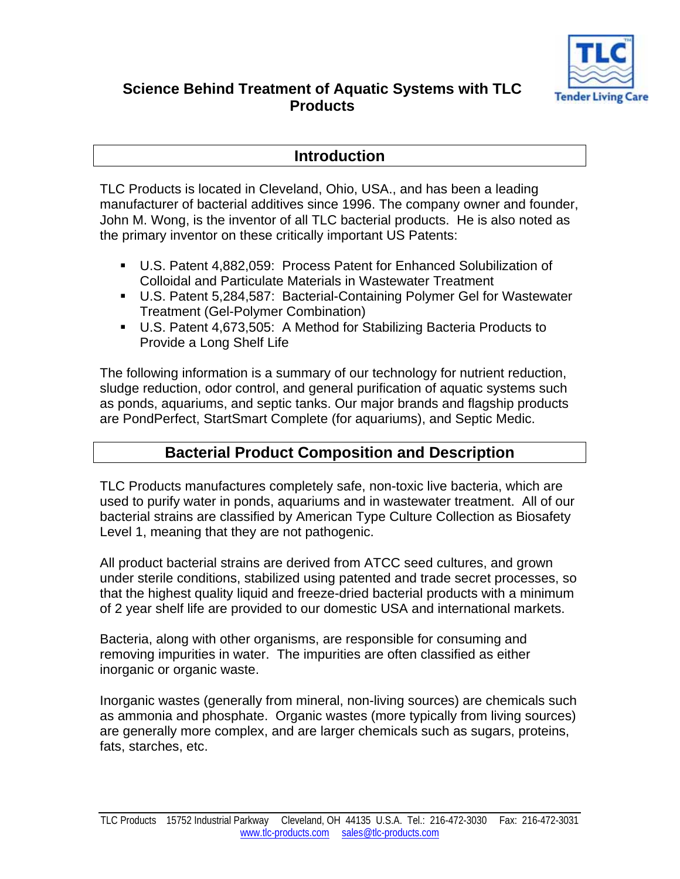

# **Science Behind Treatment of Aquatic Systems with TLC Products**

### **Introduction**

TLC Products is located in Cleveland, Ohio, USA., and has been a leading manufacturer of bacterial additives since 1996. The company owner and founder, John M. Wong, is the inventor of all TLC bacterial products. He is also noted as the primary inventor on these critically important US Patents:

- U.S. Patent 4,882,059: Process Patent for Enhanced Solubilization of Colloidal and Particulate Materials in Wastewater Treatment
- U.S. Patent 5,284,587: Bacterial-Containing Polymer Gel for Wastewater Treatment (Gel-Polymer Combination)
- U.S. Patent 4,673,505: A Method for Stabilizing Bacteria Products to Provide a Long Shelf Life

The following information is a summary of our technology for nutrient reduction, sludge reduction, odor control, and general purification of aquatic systems such as ponds, aquariums, and septic tanks. Our major brands and flagship products are PondPerfect, StartSmart Complete (for aquariums), and Septic Medic.

# **Bacterial Product Composition and Description**

TLC Products manufactures completely safe, non-toxic live bacteria, which are used to purify water in ponds, aquariums and in wastewater treatment. All of our bacterial strains are classified by American Type Culture Collection as Biosafety Level 1, meaning that they are not pathogenic.

All product bacterial strains are derived from ATCC seed cultures, and grown under sterile conditions, stabilized using patented and trade secret processes, so that the highest quality liquid and freeze-dried bacterial products with a minimum of 2 year shelf life are provided to our domestic USA and international markets.

Bacteria, along with other organisms, are responsible for consuming and removing impurities in water. The impurities are often classified as either inorganic or organic waste.

Inorganic wastes (generally from mineral, non-living sources) are chemicals such as ammonia and phosphate. Organic wastes (more typically from living sources) are generally more complex, and are larger chemicals such as sugars, proteins, fats, starches, etc.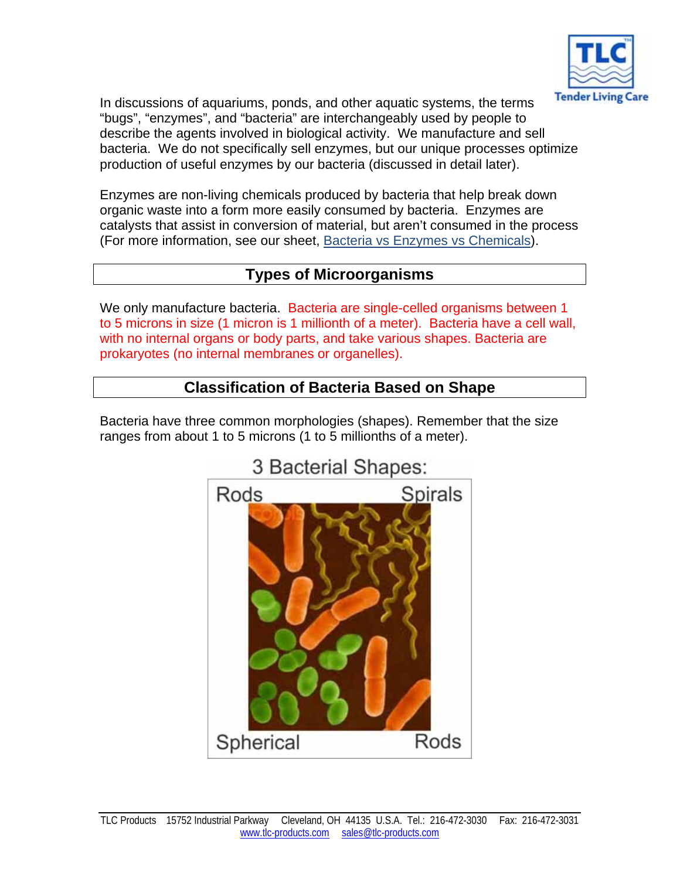

In discussions of aquariums, ponds, and other aquatic systems, the terms "bugs", "enzymes", and "bacteria" are interchangeably used by people to describe the agents involved in biological activity. We manufacture and sell bacteria. We do not specifically sell enzymes, but our unique processes optimize production of useful enzymes by our bacteria (discussed in detail later).

Enzymes are non-living chemicals produced by bacteria that help break down organic waste into a form more easily consumed by bacteria. Enzymes are catalysts that assist in conversion of material, but aren't consumed in the process (For more information, see our sheet, Bacteria vs Enzymes vs Chemicals).

# **Types of Microorganisms**

We only manufacture bacteria. Bacteria are single-celled organisms between 1 to 5 microns in size (1 micron is 1 millionth of a meter). Bacteria have a cell wall, with no internal organs or body parts, and take various shapes. Bacteria are prokaryotes (no internal membranes or organelles).

# **Classification of Bacteria Based on Shape**

Bacteria have three common morphologies (shapes). Remember that the size ranges from about 1 to 5 microns (1 to 5 millionths of a meter).



# 3 Bacterial Shapes: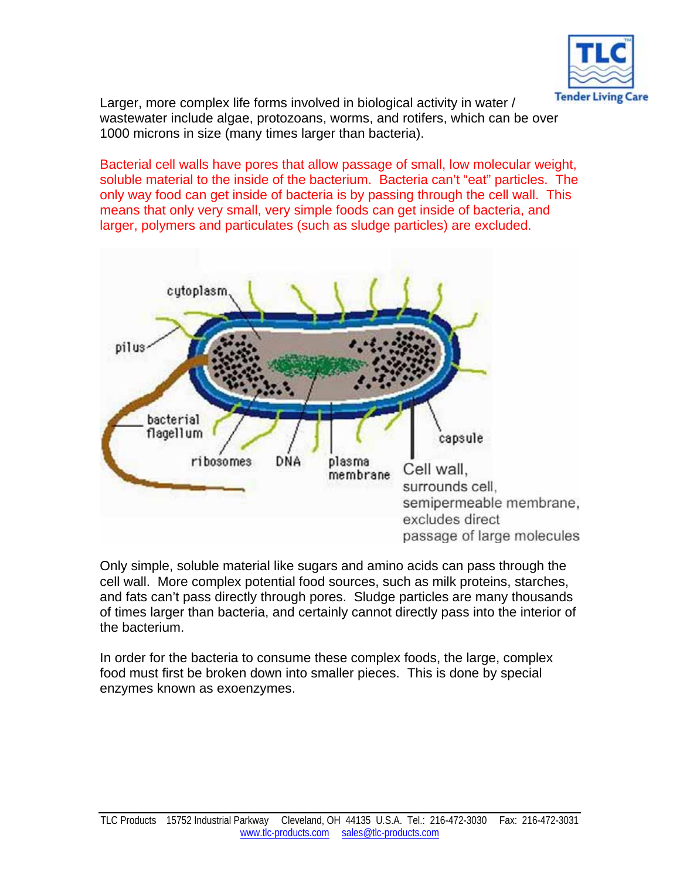

Larger, more complex life forms involved in biological activity in water / wastewater include algae, protozoans, worms, and rotifers, which can be over 1000 microns in size (many times larger than bacteria).

Bacterial cell walls have pores that allow passage of small, low molecular weight, soluble material to the inside of the bacterium. Bacteria can't "eat" particles. The only way food can get inside of bacteria is by passing through the cell wall. This means that only very small, very simple foods can get inside of bacteria, and larger, polymers and particulates (such as sludge particles) are excluded.



Only simple, soluble material like sugars and amino acids can pass through the cell wall. More complex potential food sources, such as milk proteins, starches, and fats can't pass directly through pores. Sludge particles are many thousands of times larger than bacteria, and certainly cannot directly pass into the interior of the bacterium.

In order for the bacteria to consume these complex foods, the large, complex food must first be broken down into smaller pieces. This is done by special enzymes known as exoenzymes.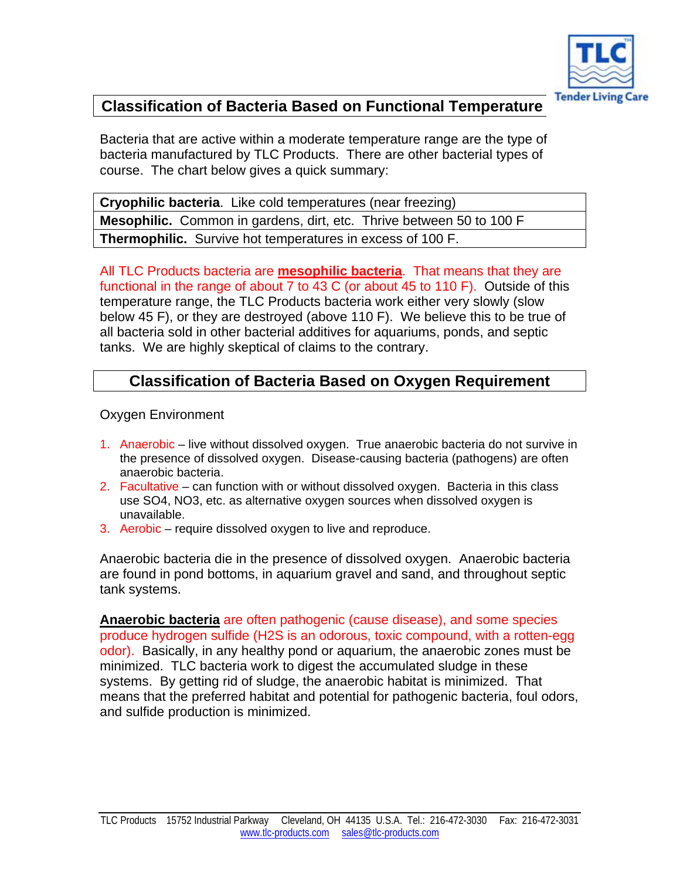

# **Classification of Bacteria Based on Functional Temperature**

Bacteria that are active within a moderate temperature range are the type of bacteria manufactured by TLC Products. There are other bacterial types of course. The chart below gives a quick summary:

**Cryophilic bacteria**. Like cold temperatures (near freezing) **Mesophilic.** Common in gardens, dirt, etc. Thrive between 50 to 100 F **Thermophilic.** Survive hot temperatures in excess of 100 F.

All TLC Products bacteria are **mesophilic bacteria**. That means that they are functional in the range of about 7 to 43 C (or about 45 to 110 F). Outside of this temperature range, the TLC Products bacteria work either very slowly (slow below 45 F), or they are destroyed (above 110 F). We believe this to be true of all bacteria sold in other bacterial additives for aquariums, ponds, and septic tanks. We are highly skeptical of claims to the contrary.

# **Classification of Bacteria Based on Oxygen Requirement**

Oxygen Environment

- 1. Anaerobic live without dissolved oxygen. True anaerobic bacteria do not survive in the presence of dissolved oxygen. Disease-causing bacteria (pathogens) are often anaerobic bacteria.
- 2. Facultative can function with or without dissolved oxygen. Bacteria in this class use SO4, NO3, etc. as alternative oxygen sources when dissolved oxygen is unavailable.
- 3. Aerobic require dissolved oxygen to live and reproduce.

Anaerobic bacteria die in the presence of dissolved oxygen. Anaerobic bacteria are found in pond bottoms, in aquarium gravel and sand, and throughout septic tank systems.

**Anaerobic bacteria** are often pathogenic (cause disease), and some species produce hydrogen sulfide (H2S is an odorous, toxic compound, with a rotten-egg odor). Basically, in any healthy pond or aquarium, the anaerobic zones must be minimized. TLC bacteria work to digest the accumulated sludge in these systems. By getting rid of sludge, the anaerobic habitat is minimized. That means that the preferred habitat and potential for pathogenic bacteria, foul odors, and sulfide production is minimized.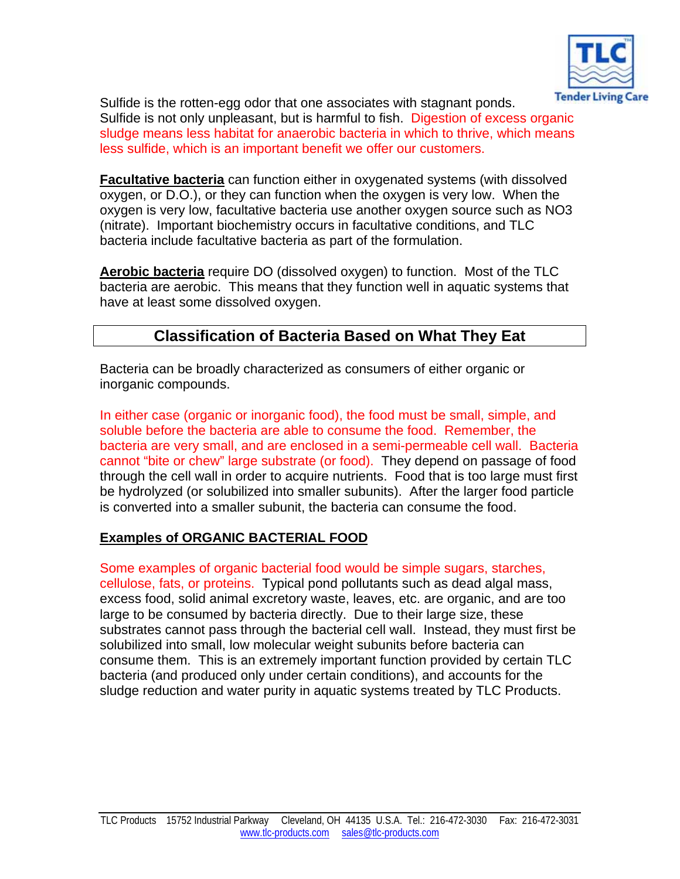

Sulfide is the rotten-egg odor that one associates with stagnant ponds. Sulfide is not only unpleasant, but is harmful to fish. Digestion of excess organic sludge means less habitat for anaerobic bacteria in which to thrive, which means less sulfide, which is an important benefit we offer our customers.

**Facultative bacteria** can function either in oxygenated systems (with dissolved oxygen, or D.O.), or they can function when the oxygen is very low. When the oxygen is very low, facultative bacteria use another oxygen source such as NO3 (nitrate). Important biochemistry occurs in facultative conditions, and TLC bacteria include facultative bacteria as part of the formulation.

**Aerobic bacteria** require DO (dissolved oxygen) to function. Most of the TLC bacteria are aerobic. This means that they function well in aquatic systems that have at least some dissolved oxygen.

# **Classification of Bacteria Based on What They Eat**

Bacteria can be broadly characterized as consumers of either organic or inorganic compounds.

In either case (organic or inorganic food), the food must be small, simple, and soluble before the bacteria are able to consume the food. Remember, the bacteria are very small, and are enclosed in a semi-permeable cell wall. Bacteria cannot "bite or chew" large substrate (or food). They depend on passage of food through the cell wall in order to acquire nutrients. Food that is too large must first be hydrolyzed (or solubilized into smaller subunits). After the larger food particle is converted into a smaller subunit, the bacteria can consume the food.

### **Examples of ORGANIC BACTERIAL FOOD**

Some examples of organic bacterial food would be simple sugars, starches, cellulose, fats, or proteins. Typical pond pollutants such as dead algal mass, excess food, solid animal excretory waste, leaves, etc. are organic, and are too large to be consumed by bacteria directly. Due to their large size, these substrates cannot pass through the bacterial cell wall. Instead, they must first be solubilized into small, low molecular weight subunits before bacteria can consume them. This is an extremely important function provided by certain TLC bacteria (and produced only under certain conditions), and accounts for the sludge reduction and water purity in aquatic systems treated by TLC Products.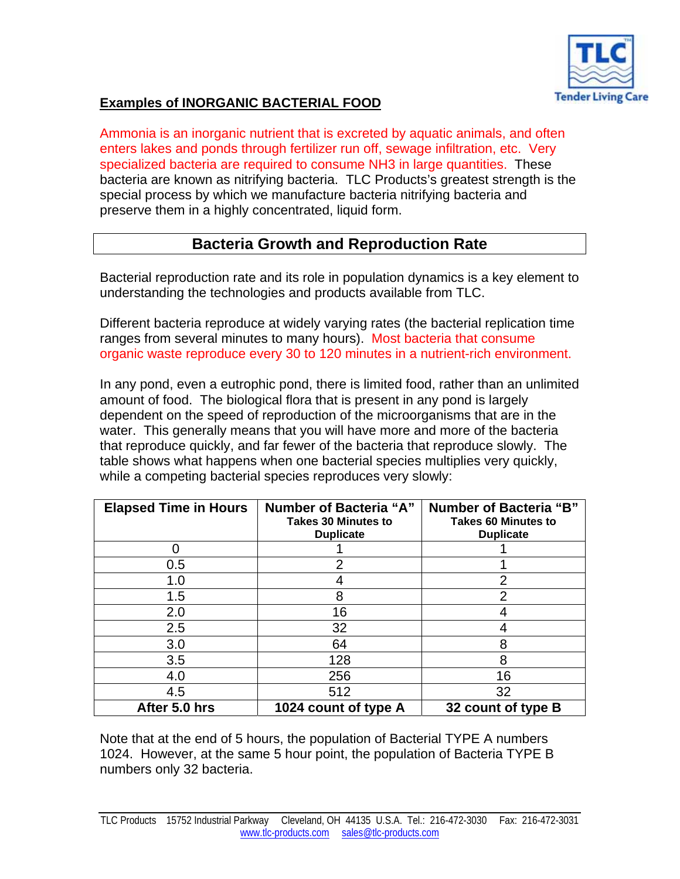

### **Examples of INORGANIC BACTERIAL FOOD**

Ammonia is an inorganic nutrient that is excreted by aquatic animals, and often enters lakes and ponds through fertilizer run off, sewage infiltration, etc. Very specialized bacteria are required to consume NH3 in large quantities. These bacteria are known as nitrifying bacteria. TLC Products's greatest strength is the special process by which we manufacture bacteria nitrifying bacteria and preserve them in a highly concentrated, liquid form.

### **Bacteria Growth and Reproduction Rate**

Bacterial reproduction rate and its role in population dynamics is a key element to understanding the technologies and products available from TLC.

Different bacteria reproduce at widely varying rates (the bacterial replication time ranges from several minutes to many hours). Most bacteria that consume organic waste reproduce every 30 to 120 minutes in a nutrient-rich environment.

In any pond, even a eutrophic pond, there is limited food, rather than an unlimited amount of food. The biological flora that is present in any pond is largely dependent on the speed of reproduction of the microorganisms that are in the water. This generally means that you will have more and more of the bacteria that reproduce quickly, and far fewer of the bacteria that reproduce slowly. The table shows what happens when one bacterial species multiplies very quickly, while a competing bacterial species reproduces very slowly:

| <b>Elapsed Time in Hours</b> | Number of Bacteria "A"<br><b>Takes 30 Minutes to</b><br><b>Duplicate</b> | <b>Number of Bacteria "B"</b><br><b>Takes 60 Minutes to</b><br><b>Duplicate</b> |
|------------------------------|--------------------------------------------------------------------------|---------------------------------------------------------------------------------|
|                              |                                                                          |                                                                                 |
| 0.5                          | 2                                                                        |                                                                                 |
| 1.0                          |                                                                          | 2                                                                               |
| 1.5                          | 8                                                                        | 2                                                                               |
| 2.0                          | 16                                                                       |                                                                                 |
| 2.5                          | 32                                                                       |                                                                                 |
| 3.0                          | 64                                                                       | 8                                                                               |
| 3.5                          | 128                                                                      | 8                                                                               |
| 4.0                          | 256                                                                      | 16                                                                              |
| 4.5                          | 512                                                                      | 32                                                                              |
| After 5.0 hrs                | 1024 count of type A                                                     | 32 count of type B                                                              |

Note that at the end of 5 hours, the population of Bacterial TYPE A numbers 1024. However, at the same 5 hour point, the population of Bacteria TYPE B numbers only 32 bacteria.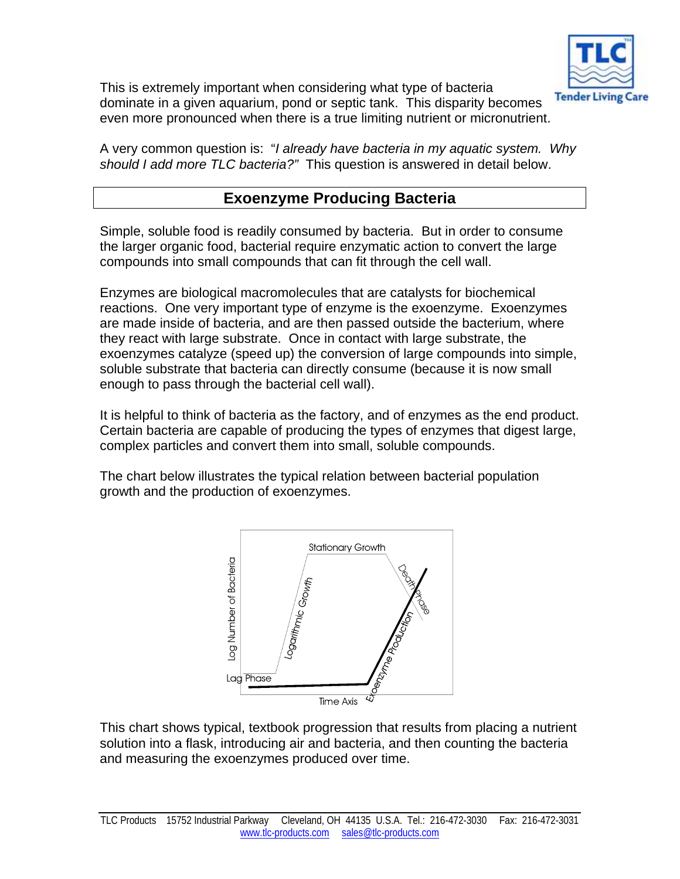

This is extremely important when considering what type of bacteria dominate in a given aquarium, pond or septic tank. This disparity becomes even more pronounced when there is a true limiting nutrient or micronutrient.

A very common question is: "*I already have bacteria in my aquatic system. Why should I add more TLC bacteria?"* This question is answered in detail below.

# **Exoenzyme Producing Bacteria**

Simple, soluble food is readily consumed by bacteria. But in order to consume the larger organic food, bacterial require enzymatic action to convert the large compounds into small compounds that can fit through the cell wall.

Enzymes are biological macromolecules that are catalysts for biochemical reactions. One very important type of enzyme is the exoenzyme. Exoenzymes are made inside of bacteria, and are then passed outside the bacterium, where they react with large substrate. Once in contact with large substrate, the exoenzymes catalyze (speed up) the conversion of large compounds into simple, soluble substrate that bacteria can directly consume (because it is now small enough to pass through the bacterial cell wall).

It is helpful to think of bacteria as the factory, and of enzymes as the end product. Certain bacteria are capable of producing the types of enzymes that digest large, complex particles and convert them into small, soluble compounds.

The chart below illustrates the typical relation between bacterial population growth and the production of exoenzymes.



This chart shows typical, textbook progression that results from placing a nutrient solution into a flask, introducing air and bacteria, and then counting the bacteria and measuring the exoenzymes produced over time.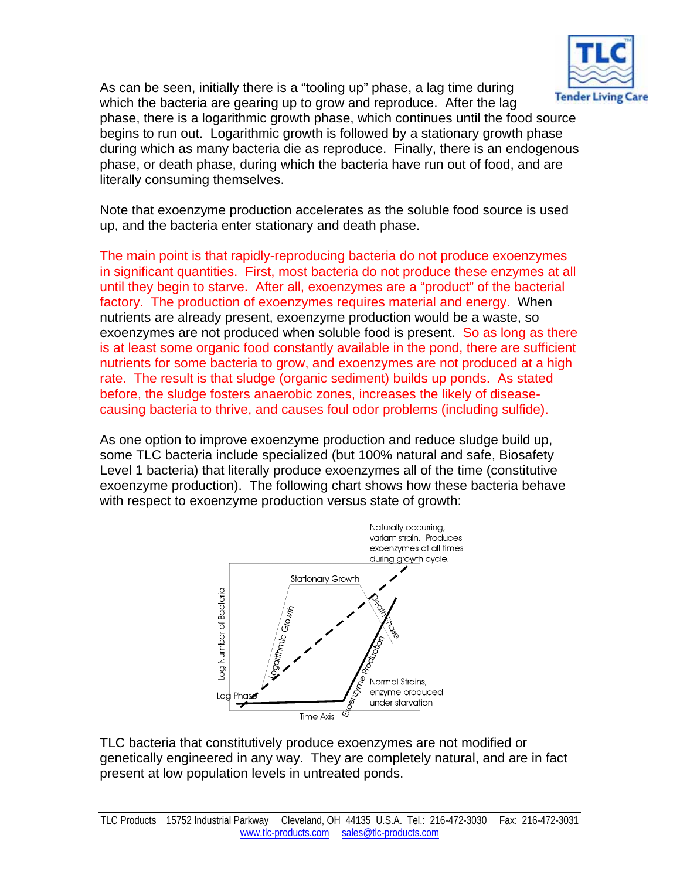

As can be seen, initially there is a "tooling up" phase, a lag time during which the bacteria are gearing up to grow and reproduce. After the lag phase, there is a logarithmic growth phase, which continues until the food source begins to run out. Logarithmic growth is followed by a stationary growth phase during which as many bacteria die as reproduce. Finally, there is an endogenous phase, or death phase, during which the bacteria have run out of food, and are literally consuming themselves.

Note that exoenzyme production accelerates as the soluble food source is used up, and the bacteria enter stationary and death phase.

The main point is that rapidly-reproducing bacteria do not produce exoenzymes in significant quantities. First, most bacteria do not produce these enzymes at all until they begin to starve. After all, exoenzymes are a "product" of the bacterial factory. The production of exoenzymes requires material and energy. When nutrients are already present, exoenzyme production would be a waste, so exoenzymes are not produced when soluble food is present. So as long as there is at least some organic food constantly available in the pond, there are sufficient nutrients for some bacteria to grow, and exoenzymes are not produced at a high rate. The result is that sludge (organic sediment) builds up ponds. As stated before, the sludge fosters anaerobic zones, increases the likely of diseasecausing bacteria to thrive, and causes foul odor problems (including sulfide).

As one option to improve exoenzyme production and reduce sludge build up, some TLC bacteria include specialized (but 100% natural and safe, Biosafety Level 1 bacteria) that literally produce exoenzymes all of the time (constitutive exoenzyme production). The following chart shows how these bacteria behave with respect to exoenzyme production versus state of growth:



TLC bacteria that constitutively produce exoenzymes are not modified or genetically engineered in any way. They are completely natural, and are in fact present at low population levels in untreated ponds.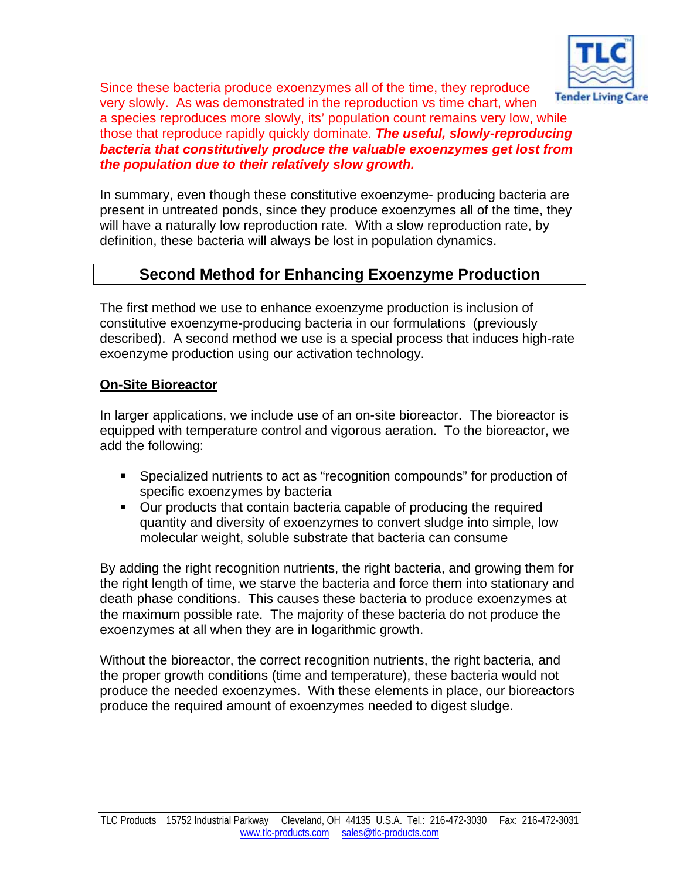

Since these bacteria produce exoenzymes all of the time, they reproduce very slowly. As was demonstrated in the reproduction vs time chart, when a species reproduces more slowly, its' population count remains very low, while those that reproduce rapidly quickly dominate. *The useful, slowly-reproducing bacteria that constitutively produce the valuable exoenzymes get lost from the population due to their relatively slow growth.*

In summary, even though these constitutive exoenzyme- producing bacteria are present in untreated ponds, since they produce exoenzymes all of the time, they will have a naturally low reproduction rate. With a slow reproduction rate, by definition, these bacteria will always be lost in population dynamics.

# **Second Method for Enhancing Exoenzyme Production**

The first method we use to enhance exoenzyme production is inclusion of constitutive exoenzyme-producing bacteria in our formulations (previously described). A second method we use is a special process that induces high-rate exoenzyme production using our activation technology.

#### **On-Site Bioreactor**

In larger applications, we include use of an on-site bioreactor. The bioreactor is equipped with temperature control and vigorous aeration. To the bioreactor, we add the following:

- Specialized nutrients to act as "recognition compounds" for production of specific exoenzymes by bacteria
- Our products that contain bacteria capable of producing the required quantity and diversity of exoenzymes to convert sludge into simple, low molecular weight, soluble substrate that bacteria can consume

By adding the right recognition nutrients, the right bacteria, and growing them for the right length of time, we starve the bacteria and force them into stationary and death phase conditions. This causes these bacteria to produce exoenzymes at the maximum possible rate. The majority of these bacteria do not produce the exoenzymes at all when they are in logarithmic growth.

Without the bioreactor, the correct recognition nutrients, the right bacteria, and the proper growth conditions (time and temperature), these bacteria would not produce the needed exoenzymes. With these elements in place, our bioreactors produce the required amount of exoenzymes needed to digest sludge.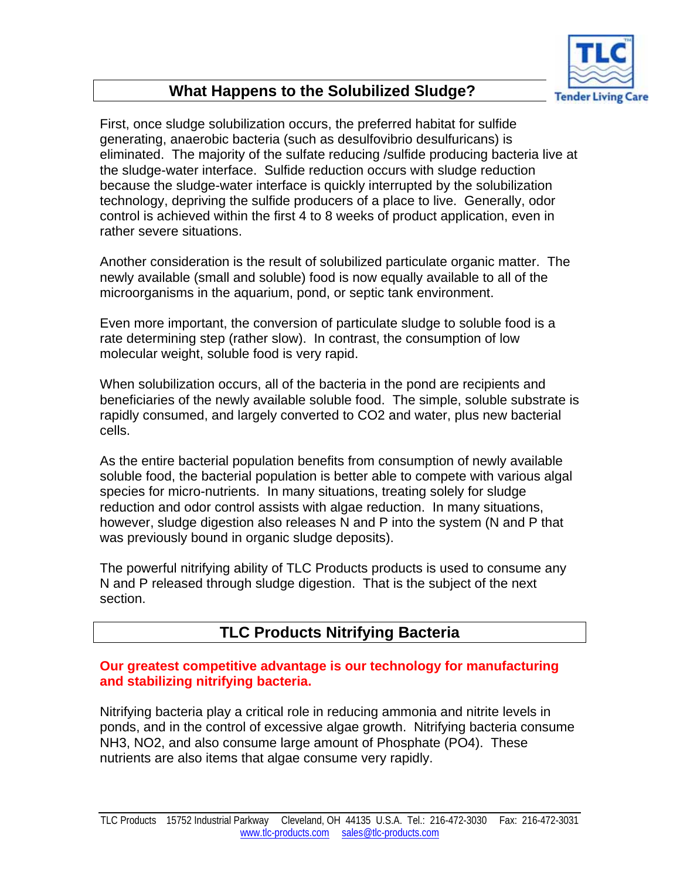

# **What Happens to the Solubilized Sludge?**

First, once sludge solubilization occurs, the preferred habitat for sulfide generating, anaerobic bacteria (such as desulfovibrio desulfuricans) is eliminated. The majority of the sulfate reducing /sulfide producing bacteria live at the sludge-water interface. Sulfide reduction occurs with sludge reduction because the sludge-water interface is quickly interrupted by the solubilization technology, depriving the sulfide producers of a place to live. Generally, odor control is achieved within the first 4 to 8 weeks of product application, even in rather severe situations.

Another consideration is the result of solubilized particulate organic matter. The newly available (small and soluble) food is now equally available to all of the microorganisms in the aquarium, pond, or septic tank environment.

Even more important, the conversion of particulate sludge to soluble food is a rate determining step (rather slow). In contrast, the consumption of low molecular weight, soluble food is very rapid.

When solubilization occurs, all of the bacteria in the pond are recipients and beneficiaries of the newly available soluble food. The simple, soluble substrate is rapidly consumed, and largely converted to CO2 and water, plus new bacterial cells.

As the entire bacterial population benefits from consumption of newly available soluble food, the bacterial population is better able to compete with various algal species for micro-nutrients. In many situations, treating solely for sludge reduction and odor control assists with algae reduction. In many situations, however, sludge digestion also releases N and P into the system (N and P that was previously bound in organic sludge deposits).

The powerful nitrifying ability of TLC Products products is used to consume any N and P released through sludge digestion. That is the subject of the next section.

# **TLC Products Nitrifying Bacteria**

#### **Our greatest competitive advantage is our technology for manufacturing and stabilizing nitrifying bacteria.**

Nitrifying bacteria play a critical role in reducing ammonia and nitrite levels in ponds, and in the control of excessive algae growth. Nitrifying bacteria consume NH3, NO2, and also consume large amount of Phosphate (PO4). These nutrients are also items that algae consume very rapidly.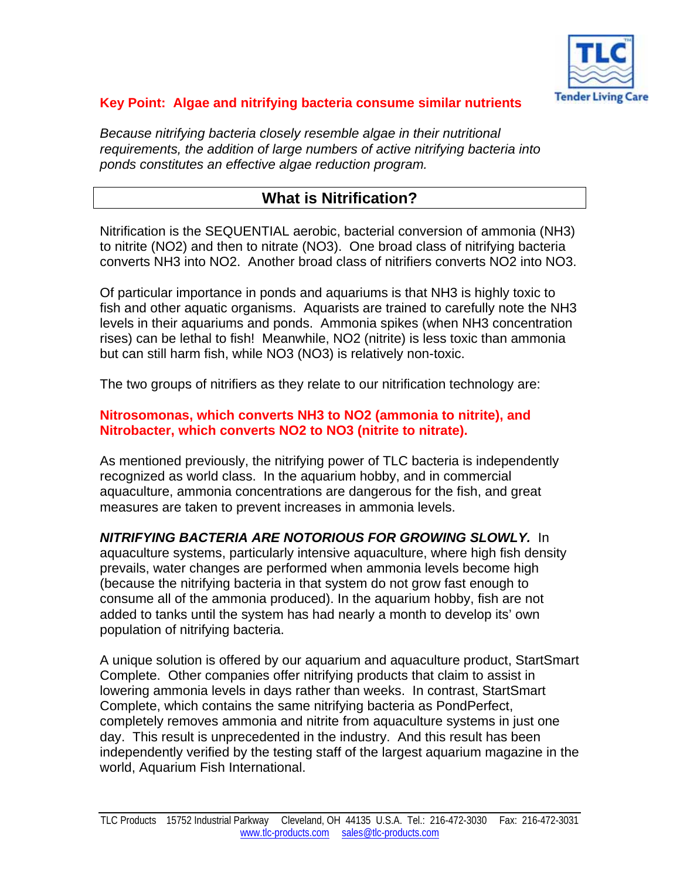

### **Key Point: Algae and nitrifying bacteria consume similar nutrients**

*Because nitrifying bacteria closely resemble algae in their nutritional requirements, the addition of large numbers of active nitrifying bacteria into ponds constitutes an effective algae reduction program.* 

# **What is Nitrification?**

Nitrification is the SEQUENTIAL aerobic, bacterial conversion of ammonia (NH3) to nitrite (NO2) and then to nitrate (NO3). One broad class of nitrifying bacteria converts NH3 into NO2. Another broad class of nitrifiers converts NO2 into NO3.

Of particular importance in ponds and aquariums is that NH3 is highly toxic to fish and other aquatic organisms. Aquarists are trained to carefully note the NH3 levels in their aquariums and ponds. Ammonia spikes (when NH3 concentration rises) can be lethal to fish! Meanwhile, NO2 (nitrite) is less toxic than ammonia but can still harm fish, while NO3 (NO3) is relatively non-toxic.

The two groups of nitrifiers as they relate to our nitrification technology are:

#### **Nitrosomonas, which converts NH3 to NO2 (ammonia to nitrite), and Nitrobacter, which converts NO2 to NO3 (nitrite to nitrate).**

As mentioned previously, the nitrifying power of TLC bacteria is independently recognized as world class. In the aquarium hobby, and in commercial aquaculture, ammonia concentrations are dangerous for the fish, and great measures are taken to prevent increases in ammonia levels.

*NITRIFYING BACTERIA ARE NOTORIOUS FOR GROWING SLOWLY.* In aquaculture systems, particularly intensive aquaculture, where high fish density prevails, water changes are performed when ammonia levels become high (because the nitrifying bacteria in that system do not grow fast enough to consume all of the ammonia produced). In the aquarium hobby, fish are not added to tanks until the system has had nearly a month to develop its' own population of nitrifying bacteria.

A unique solution is offered by our aquarium and aquaculture product, StartSmart Complete. Other companies offer nitrifying products that claim to assist in lowering ammonia levels in days rather than weeks. In contrast, StartSmart Complete, which contains the same nitrifying bacteria as PondPerfect, completely removes ammonia and nitrite from aquaculture systems in just one day. This result is unprecedented in the industry. And this result has been independently verified by the testing staff of the largest aquarium magazine in the world, Aquarium Fish International.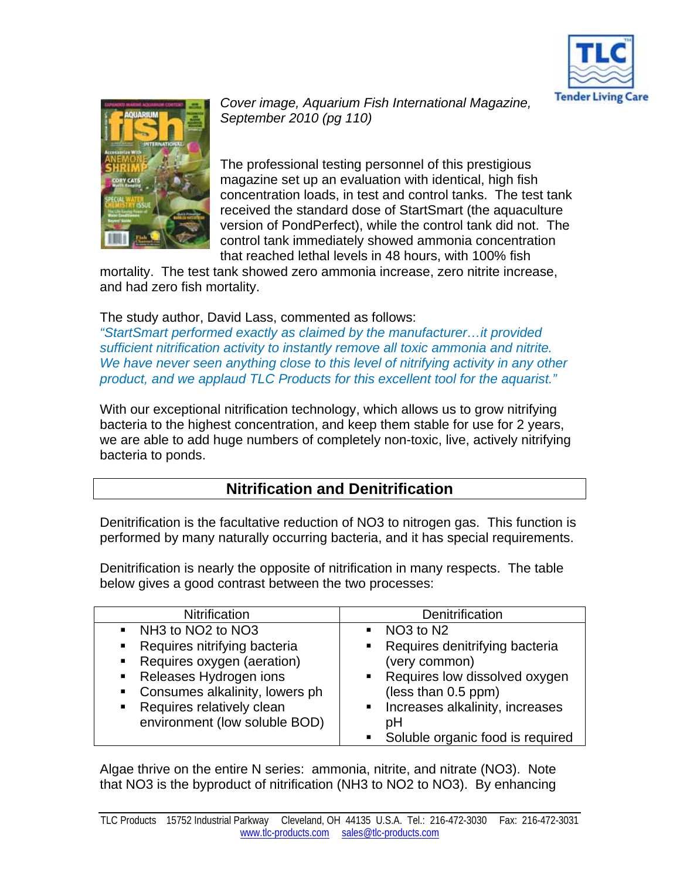



*Cover image, Aquarium Fish International Magazine, September 2010 (pg 110)* 

The professional testing personnel of this prestigious magazine set up an evaluation with identical, high fish concentration loads, in test and control tanks. The test tank received the standard dose of StartSmart (the aquaculture version of PondPerfect), while the control tank did not. The control tank immediately showed ammonia concentration that reached lethal levels in 48 hours, with 100% fish

mortality. The test tank showed zero ammonia increase, zero nitrite increase, and had zero fish mortality.

#### The study author, David Lass, commented as follows:

*"StartSmart performed exactly as claimed by the manufacturer…it provided sufficient nitrification activity to instantly remove all toxic ammonia and nitrite. We have never seen anything close to this level of nitrifying activity in any other product, and we applaud TLC Products for this excellent tool for the aquarist."* 

With our exceptional nitrification technology, which allows us to grow nitrifying bacteria to the highest concentration, and keep them stable for use for 2 years, we are able to add huge numbers of completely non-toxic, live, actively nitrifying bacteria to ponds.

# **Nitrification and Denitrification**

Denitrification is the facultative reduction of NO3 to nitrogen gas. This function is performed by many naturally occurring bacteria, and it has special requirements.

Denitrification is nearly the opposite of nitrification in many respects. The table below gives a good contrast between the two processes:

| <b>Nitrification</b>               | Denitrification                                    |  |
|------------------------------------|----------------------------------------------------|--|
| • NH3 to NO2 to NO3                | $\blacksquare$ NO3 to N2                           |  |
| Requires nitrifying bacteria<br>п. | • Requires denitrifying bacteria                   |  |
| Requires oxygen (aeration)         | (very common)                                      |  |
| Releases Hydrogen ions             | • Requires low dissolved oxygen                    |  |
| Consumes alkalinity, lowers ph     | (less than 0.5 ppm)                                |  |
| Requires relatively clean          | Increases alkalinity, increases<br>$\blacksquare$  |  |
| environment (low soluble BOD)      | рH                                                 |  |
|                                    | Soluble organic food is required<br>$\blacksquare$ |  |

Algae thrive on the entire N series: ammonia, nitrite, and nitrate (NO3). Note that NO3 is the byproduct of nitrification (NH3 to NO2 to NO3). By enhancing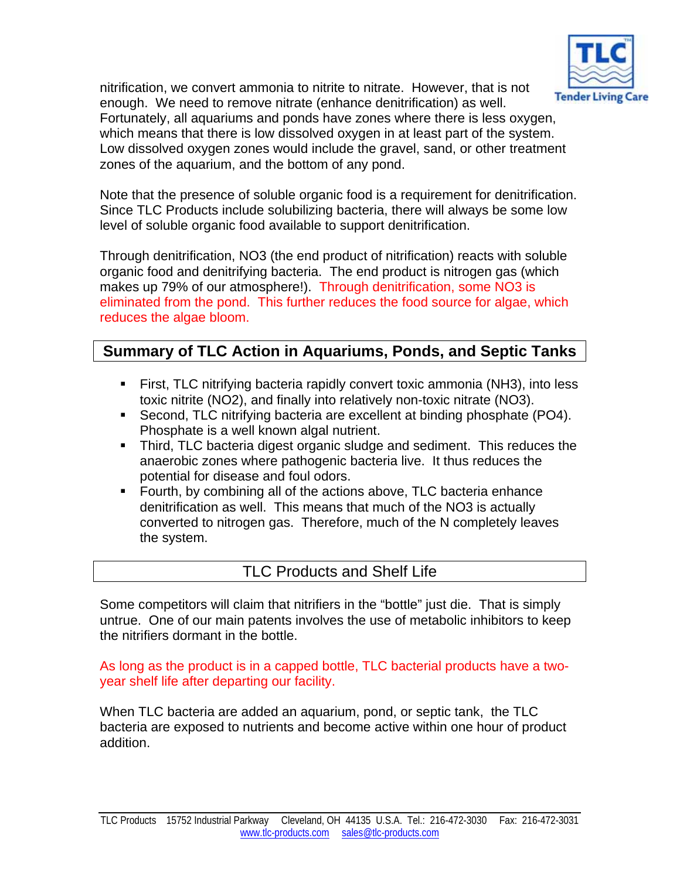

nitrification, we convert ammonia to nitrite to nitrate. However, that is not enough. We need to remove nitrate (enhance denitrification) as well. Fortunately, all aquariums and ponds have zones where there is less oxygen, which means that there is low dissolved oxygen in at least part of the system. Low dissolved oxygen zones would include the gravel, sand, or other treatment zones of the aquarium, and the bottom of any pond.

Note that the presence of soluble organic food is a requirement for denitrification. Since TLC Products include solubilizing bacteria, there will always be some low level of soluble organic food available to support denitrification.

Through denitrification, NO3 (the end product of nitrification) reacts with soluble organic food and denitrifying bacteria. The end product is nitrogen gas (which makes up 79% of our atmosphere!). Through denitrification, some NO3 is eliminated from the pond. This further reduces the food source for algae, which reduces the algae bloom.

# **Summary of TLC Action in Aquariums, Ponds, and Septic Tanks**

- First, TLC nitrifying bacteria rapidly convert toxic ammonia (NH3), into less toxic nitrite (NO2), and finally into relatively non-toxic nitrate (NO3).
- Second, TLC nitrifying bacteria are excellent at binding phosphate (PO4). Phosphate is a well known algal nutrient.
- Third, TLC bacteria digest organic sludge and sediment. This reduces the anaerobic zones where pathogenic bacteria live. It thus reduces the potential for disease and foul odors.
- **F** Fourth, by combining all of the actions above, TLC bacteria enhance denitrification as well. This means that much of the NO3 is actually converted to nitrogen gas. Therefore, much of the N completely leaves the system.

### TLC Products and Shelf Life

Some competitors will claim that nitrifiers in the "bottle" just die. That is simply untrue. One of our main patents involves the use of metabolic inhibitors to keep the nitrifiers dormant in the bottle.

#### As long as the product is in a capped bottle, TLC bacterial products have a twoyear shelf life after departing our facility.

When TLC bacteria are added an aquarium, pond, or septic tank, the TLC bacteria are exposed to nutrients and become active within one hour of product addition.